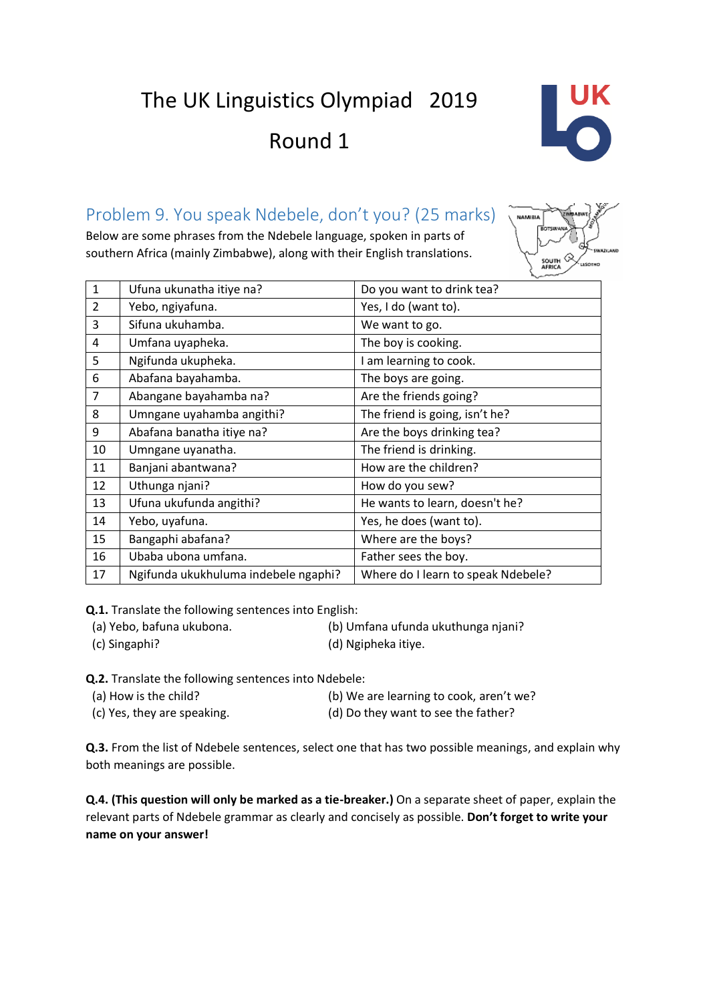The UK Linguistics Olympiad 2019

Round 1



### Problem 9. You speak Ndebele, don't you? (25 marks)

Below are some phrases from the Ndebele language, spoken in parts of southern Africa (mainly Zimbabwe), along with their English translations.



| $\mathbf{1}$   | Ufuna ukunatha itiye na?             | Do you want to drink tea?          |  |
|----------------|--------------------------------------|------------------------------------|--|
| 2              | Yebo, ngiyafuna.                     | Yes, I do (want to).               |  |
| 3              | Sifuna ukuhamba.                     | We want to go.                     |  |
| 4              | Umfana uyapheka.                     | The boy is cooking.                |  |
| 5              | Ngifunda ukupheka.                   | I am learning to cook.             |  |
| 6              | Abafana bayahamba.                   | The boys are going.                |  |
| $\overline{7}$ | Abangane bayahamba na?               | Are the friends going?             |  |
| 8              | Umngane uyahamba angithi?            | The friend is going, isn't he?     |  |
| 9              | Abafana banatha itiye na?            | Are the boys drinking tea?         |  |
| 10             | Umngane uyanatha.                    | The friend is drinking.            |  |
| 11             | Banjani abantwana?                   | How are the children?              |  |
| 12             | Uthunga njani?                       | How do you sew?                    |  |
| 13             | Ufuna ukufunda angithi?              | He wants to learn, doesn't he?     |  |
| 14             | Yebo, uyafuna.                       | Yes, he does (want to).            |  |
| 15             | Bangaphi abafana?                    | Where are the boys?                |  |
| 16             | Ubaba ubona umfana.                  | Father sees the boy.               |  |
| 17             | Ngifunda ukukhuluma indebele ngaphi? | Where do I learn to speak Ndebele? |  |

**Q.1.** Translate the following sentences into English:

(a) Yebo, bafuna ukubona. (b) Umfana ufunda ukuthunga njani?

(c) Singaphi? (d) Ngipheka itiye.

**Q.2.** Translate the following sentences into Ndebele:

| (a) How is the child?       | (b) We are learning to cook, aren't we? |
|-----------------------------|-----------------------------------------|
| (c) Yes, they are speaking. | (d) Do they want to see the father?     |

**Q.3.** From the list of Ndebele sentences, select one that has two possible meanings, and explain why both meanings are possible.

**Q.4. (This question will only be marked as a tie-breaker.)** On a separate sheet of paper, explain the relevant parts of Ndebele grammar as clearly and concisely as possible. **Don't forget to write your name on your answer!**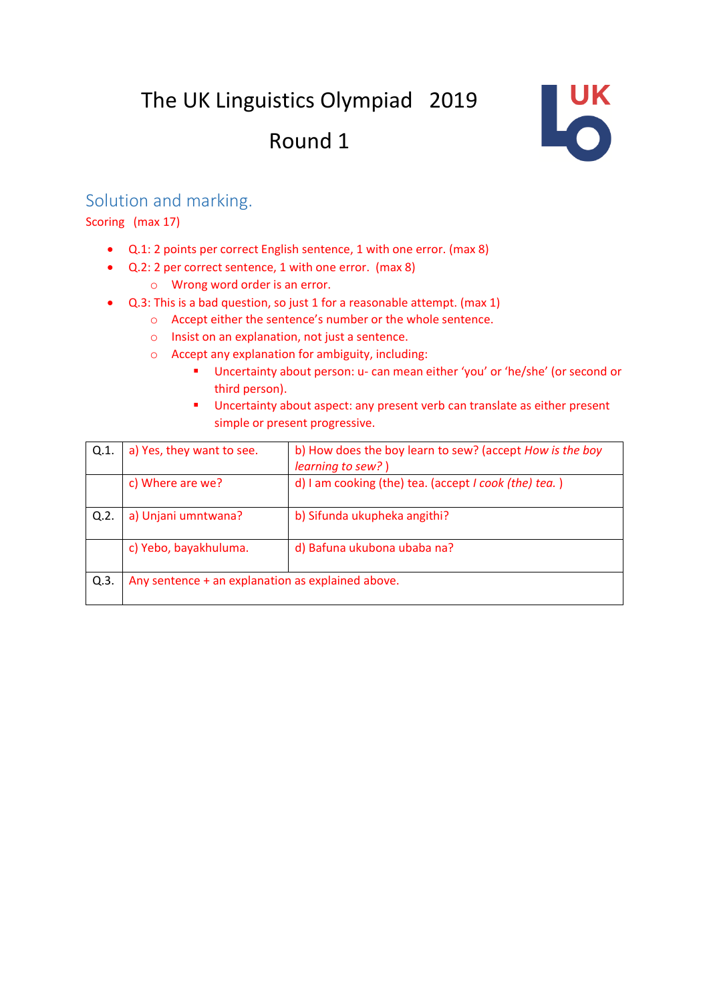## The UK Linguistics Olympiad 2019 Round 1



#### Solution and marking.

Scoring (max 17)

- Q.1: 2 points per correct English sentence, 1 with one error. (max 8)
- Q.2: 2 per correct sentence, 1 with one error. (max 8)
	- o Wrong word order is an error.
- Q.3: This is a bad question, so just 1 for a reasonable attempt. (max 1)
	- o Accept either the sentence's number or the whole sentence.
	- o Insist on an explanation, not just a sentence.
	- o Accept any explanation for ambiguity, including:
		- Uncertainty about person: u- can mean either 'you' or 'he/she' (or second or third person).
		- Uncertainty about aspect: any present verb can translate as either present simple or present progressive.

| Q.1     | a) Yes, they want to see.                         | b) How does the boy learn to sew? (accept How is the boy<br>learning to sew?) |  |
|---------|---------------------------------------------------|-------------------------------------------------------------------------------|--|
|         | c) Where are we?                                  | d) I am cooking (the) tea. (accept I cook (the) tea.)                         |  |
| Q.2.    | a) Unjani umntwana?                               | b) Sifunda ukupheka angithi?                                                  |  |
|         | c) Yebo, bayakhuluma.                             | d) Bafuna ukubona ubaba na?                                                   |  |
| $Q.3$ . | Any sentence + an explanation as explained above. |                                                                               |  |